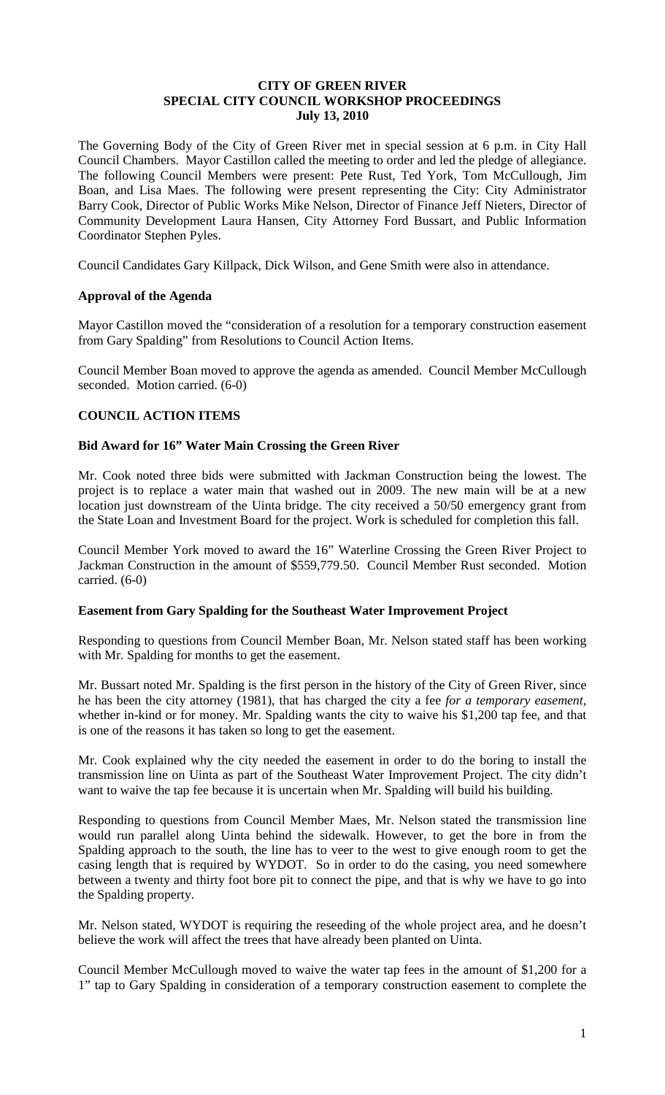### **CITY OF GREEN RIVER SPECIAL CITY COUNCIL WORKSHOP PROCEEDINGS July 13, 2010**

The Governing Body of the City of Green River met in special session at 6 p.m. in City Hall Council Chambers. Mayor Castillon called the meeting to order and led the pledge of allegiance. The following Council Members were present: Pete Rust, Ted York, Tom McCullough, Jim Boan, and Lisa Maes. The following were present representing the City: City Administrator Barry Cook, Director of Public Works Mike Nelson, Director of Finance Jeff Nieters, Director of Community Development Laura Hansen, City Attorney Ford Bussart, and Public Information Coordinator Stephen Pyles.

Council Candidates Gary Killpack, Dick Wilson, and Gene Smith were also in attendance.

### **Approval of the Agenda**

Mayor Castillon moved the "consideration of a resolution for a temporary construction easement from Gary Spalding" from Resolutions to Council Action Items.

Council Member Boan moved to approve the agenda as amended. Council Member McCullough seconded. Motion carried. (6-0)

## **COUNCIL ACTION ITEMS**

### **Bid Award for 16" Water Main Crossing the Green River**

Mr. Cook noted three bids were submitted with Jackman Construction being the lowest. The project is to replace a water main that washed out in 2009. The new main will be at a new location just downstream of the Uinta bridge. The city received a 50/50 emergency grant from the State Loan and Investment Board for the project. Work is scheduled for completion this fall.

Council Member York moved to award the 16" Waterline Crossing the Green River Project to Jackman Construction in the amount of \$559,779.50. Council Member Rust seconded. Motion carried. (6-0)

### **Easement from Gary Spalding for the Southeast Water Improvement Project**

Responding to questions from Council Member Boan, Mr. Nelson stated staff has been working with Mr. Spalding for months to get the easement.

Mr. Bussart noted Mr. Spalding is the first person in the history of the City of Green River, since he has been the city attorney (1981), that has charged the city a fee *for a temporary easement,*  whether in-kind or for money. Mr. Spalding wants the city to waive his \$1,200 tap fee, and that is one of the reasons it has taken so long to get the easement.

Mr. Cook explained why the city needed the easement in order to do the boring to install the transmission line on Uinta as part of the Southeast Water Improvement Project. The city didn't want to waive the tap fee because it is uncertain when Mr. Spalding will build his building.

Responding to questions from Council Member Maes, Mr. Nelson stated the transmission line would run parallel along Uinta behind the sidewalk. However, to get the bore in from the Spalding approach to the south, the line has to veer to the west to give enough room to get the casing length that is required by WYDOT. So in order to do the casing, you need somewhere between a twenty and thirty foot bore pit to connect the pipe, and that is why we have to go into the Spalding property.

Mr. Nelson stated, WYDOT is requiring the reseeding of the whole project area, and he doesn't believe the work will affect the trees that have already been planted on Uinta.

Council Member McCullough moved to waive the water tap fees in the amount of \$1,200 for a 1" tap to Gary Spalding in consideration of a temporary construction easement to complete the